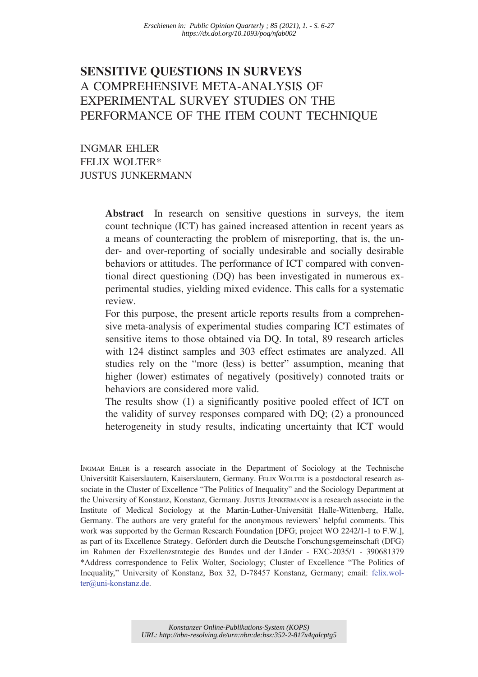# SENSITIVE QUESTIONS IN SURVEYS A COMPREHENSIVE META-ANALYSIS OF EXPERIMENTAL SURVEY STUDIES ON THE PERFORMANCE OF THE ITEM COUNT TECHNIQUE

INGMAR EHLER FELIX WOLTER\* JUSTUS JUNKERMANN

> Abstract In research on sensitive questions in surveys, the item count technique (ICT) has gained increased attention in recent years as a means of counteracting the problem of misreporting, that is, the under- and over-reporting of socially undesirable and socially desirable behaviors or attitudes. The performance of ICT compared with conventional direct questioning (DQ) has been investigated in numerous experimental studies, yielding mixed evidence. This calls for a systematic review.

> For this purpose, the present article reports results from a comprehensive meta-analysis of experimental studies comparing ICT estimates of sensitive items to those obtained via DQ. In total, 89 research articles with 124 distinct samples and 303 effect estimates are analyzed. All studies rely on the "more (less) is better" assumption, meaning that higher (lower) estimates of negatively (positively) connoted traits or behaviors are considered more valid.

> The results show (1) a significantly positive pooled effect of ICT on the validity of survey responses compared with DQ; (2) a pronounced heterogeneity in study results, indicating uncertainty that ICT would

INGMAR EHLER is a research associate in the Department of Sociology at the Technische Universität Kaiserslautern, Kaiserslautern, Germany. FELIX WOLTER is a postdoctoral research associate in the Cluster of Excellence "The Politics of Inequality" and the Sociology Department at the University of Konstanz, Konstanz, Germany. JUSTUS JUNKERMANN is a research associate in the Institute of Medical Sociology at the Martin-Luther-Universität Halle-Wittenberg, Halle, Germany. The authors are very grateful for the anonymous reviewers' helpful comments. This work was supported by the German Research Foundation [DFG; project WO 2242/1-1 to F.W.], as part of its Excellence Strategy. Gefördert durch die Deutsche Forschungsgemeinschaft (DFG) im Rahmen der Exzellenzstrategie des Bundes und der Länder - EXC-2035/1 - 390681379 \*Address correspondence to Felix Wolter, Sociology; Cluster of Excellence "The Politics of Inequality," University of Konstanz, Box 32, D-78457 Konstanz, Germany; email: felix.wolter@uni-konstanz.de.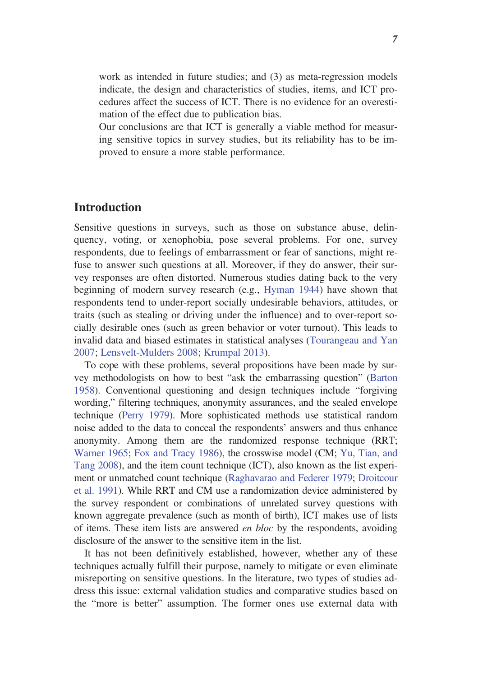work as intended in future studies; and (3) as meta-regression models indicate, the design and characteristics of studies, items, and ICT procedures affect the success of ICT. There is no evidence for an overestimation of the effect due to publication bias.

Our conclusions are that ICT is generally a viable method for measuring sensitive topics in survey studies, but its reliability has to be improved to ensure a more stable performance.

## Introduction

Sensitive questions in surveys, such as those on substance abuse, delinquency, voting, or xenophobia, pose several problems. For one, survey respondents, due to feelings of embarrassment or fear of sanctions, might refuse to answer such questions at all. Moreover, if they do answer, their survey responses are often distorted. Numerous studies dating back to the very beginning of modern survey research (e.g., Hyman 1944) have shown that respondents tend to under-report socially undesirable behaviors, attitudes, or traits (such as stealing or driving under the influence) and to over-report socially desirable ones (such as green behavior or voter turnout). This leads to invalid data and biased estimates in statistical analyses (Tourangeau and Yan 2007; Lensvelt-Mulders 2008; Krumpal 2013).

To cope with these problems, several propositions have been made by survey methodologists on how to best "ask the embarrassing question" (Barton 1958). Conventional questioning and design techniques include "forgiving wording," filtering techniques, anonymity assurances, and the sealed envelope technique (Perry 1979). More sophisticated methods use statistical random noise added to the data to conceal the respondents' answers and thus enhance anonymity. Among them are the randomized response technique (RRT; Warner 1965; Fox and Tracy 1986), the crosswise model (CM; Yu, Tian, and Tang 2008), and the item count technique (ICT), also known as the list experiment or unmatched count technique (Raghavarao and Federer 1979; Droitcour et al. 1991). While RRT and CM use a randomization device administered by the survey respondent or combinations of unrelated survey questions with known aggregate prevalence (such as month of birth), ICT makes use of lists of items. These item lists are answered en bloc by the respondents, avoiding disclosure of the answer to the sensitive item in the list.

It has not been definitively established, however, whether any of these techniques actually fulfill their purpose, namely to mitigate or even eliminate misreporting on sensitive questions. In the literature, two types of studies address this issue: external validation studies and comparative studies based on the "more is better" assumption. The former ones use external data with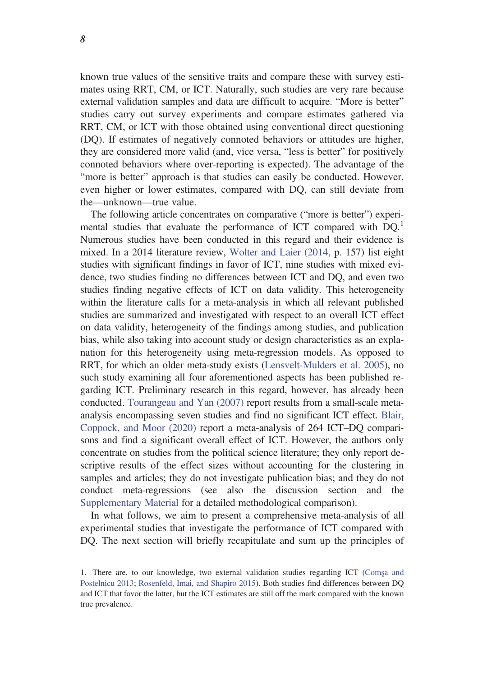known true values of the sensitive traits and compare these with survey estimates using RRT, CM, or ICT. Naturally, such studies are very rare because external validation samples and data are difficult to acquire. "More is better" studies carry out survey experiments and compare estimates gathered via RRT, CM, or ICT with those obtained using conventional direct questioning (DQ). If estimates of negatively connoted behaviors or attitudes are higher, they are considered more valid (and, vice versa, "less is better" for positively connoted behaviors where over-reporting is expected). The advantage of the "more is better" approach is that studies can easily be conducted. However, even higher or lower estimates, compared with DQ, can still deviate from the—unknown—true value.

The following article concentrates on comparative ("more is better") experimental studies that evaluate the performance of ICT compared with  $DO<sup>1</sup>$ . Numerous studies have been conducted in this regard and their evidence is mixed. In a 2014 literature review, Wolter and Laier (2014, p. 157) list eight studies with significant findings in favor of ICT, nine studies with mixed evidence, two studies finding no differences between ICT and DQ, and even two studies finding negative effects of ICT on data validity. This heterogeneity within the literature calls for a meta-analysis in which all relevant published studies are summarized and investigated with respect to an overall ICT effect on data validity, heterogeneity of the findings among studies, and publication bias, while also taking into account study or design characteristics as an explanation for this heterogeneity using meta-regression models. As opposed to RRT, for which an older meta-study exists (Lensvelt-Mulders et al. 2005), no such study examining all four aforementioned aspects has been published regarding ICT. Preliminary research in this regard, however, has already been conducted. Tourangeau and Yan (2007) report results from a small-scale metaanalysis encompassing seven studies and find no significant ICT effect. Blair, Coppock, and Moor (2020) report a meta-analysis of 264 ICT–DQ comparisons and find a significant overall effect of ICT. However, the authors only concentrate on studies from the political science literature; they only report descriptive results of the effect sizes without accounting for the clustering in samples and articles; they do not investigate publication bias; and they do not conduct meta-regressions (see also the discussion section and the Supplementary Material for a detailed methodological comparison).

In what follows, we aim to present a comprehensive meta-analysis of all experimental studies that investigate the performance of ICT compared with DQ. The next section will briefly recapitulate and sum up the principles of

<sup>1.</sup> There are, to our knowledge, two external validation studies regarding ICT (Comsa and Postelnicu 2013; Rosenfeld, Imai, and Shapiro 2015). Both studies find differences between DQ and ICT that favor the latter, but the ICT estimates are still off the mark compared with the known true prevalence.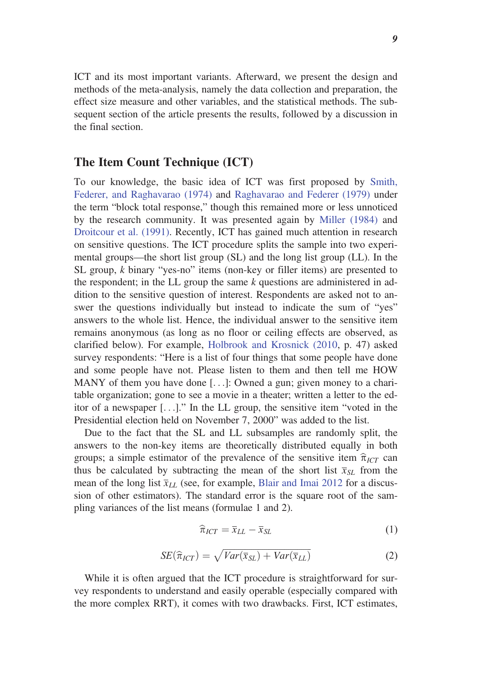ICT and its most important variants. Afterward, we present the design and methods of the meta-analysis, namely the data collection and preparation, the effect size measure and other variables, and the statistical methods. The subsequent section of the article presents the results, followed by a discussion in the final section.

### The Item Count Technique (ICT)

To our knowledge, the basic idea of ICT was first proposed by Smith, Federer, and Raghavarao (1974) and Raghavarao and Federer (1979) under the term "block total response," though this remained more or less unnoticed by the research community. It was presented again by Miller (1984) and Droitcour et al. (1991). Recently, ICT has gained much attention in research on sensitive questions. The ICT procedure splits the sample into two experimental groups—the short list group (SL) and the long list group (LL). In the SL group, k binary "yes-no" items (non-key or filler items) are presented to the respondent; in the LL group the same k questions are administered in addition to the sensitive question of interest. Respondents are asked not to answer the questions individually but instead to indicate the sum of "yes" answers to the whole list. Hence, the individual answer to the sensitive item remains anonymous (as long as no floor or ceiling effects are observed, as clarified below). For example, Holbrook and Krosnick (2010, p. 47) asked survey respondents: "Here is a list of four things that some people have done and some people have not. Please listen to them and then tell me HOW MANY of them you have done [...]: Owned a gun; given money to a charitable organization; gone to see a movie in a theater; written a letter to the editor of a newspaper [. . .]." In the LL group, the sensitive item "voted in the Presidential election held on November 7, 2000" was added to the list.

Due to the fact that the SL and LL subsamples are randomly split, the answers to the non-key items are theoretically distributed equally in both groups; a simple estimator of the prevalence of the sensitive item  $\hat{\pi}_{ICT}$  can thus be calculated by subtracting the mean of the short list  $\bar{x}_{SL}$  from the mean of the long list  $\bar{x}_{LL}$  (see, for example, Blair and Imai 2012 for a discussion of other estimators). The standard error is the square root of the sampling variances of the list means (formulae 1 and 2).

$$
\widehat{\pi}_{ICT} = \overline{x}_{LL} - \overline{x}_{SL} \tag{1}
$$

$$
SE(\widehat{\pi}_{ICT}) = \sqrt{Var(\overline{x}_{SL}) + Var(\overline{x}_{LL})}
$$
\n(2)

While it is often argued that the ICT procedure is straightforward for survey respondents to understand and easily operable (especially compared with the more complex RRT), it comes with two drawbacks. First, ICT estimates,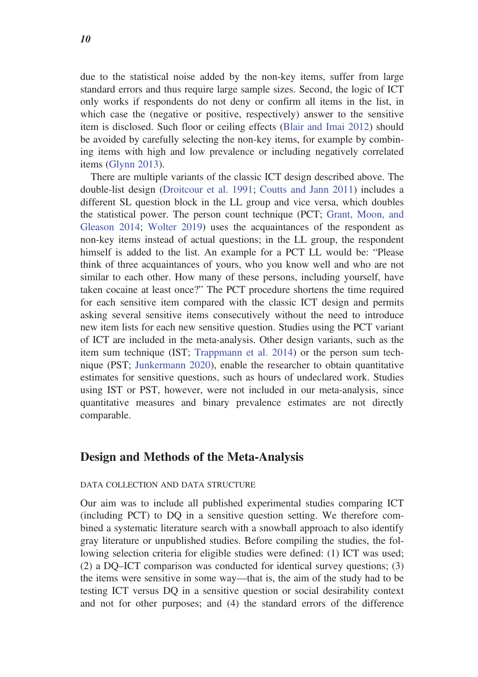due to the statistical noise added by the non-key items, suffer from large standard errors and thus require large sample sizes. Second, the logic of ICT only works if respondents do not deny or confirm all items in the list, in which case the (negative or positive, respectively) answer to the sensitive item is disclosed. Such floor or ceiling effects (Blair and Imai 2012) should be avoided by carefully selecting the non-key items, for example by combining items with high and low prevalence or including negatively correlated items (Glynn 2013).

There are multiple variants of the classic ICT design described above. The double-list design (Droitcour et al. 1991; Coutts and Jann 2011) includes a different SL question block in the LL group and vice versa, which doubles the statistical power. The person count technique (PCT; Grant, Moon, and Gleason 2014; Wolter 2019) uses the acquaintances of the respondent as non-key items instead of actual questions; in the LL group, the respondent himself is added to the list. An example for a PCT LL would be: "Please think of three acquaintances of yours, who you know well and who are not similar to each other. How many of these persons, including yourself, have taken cocaine at least once?" The PCT procedure shortens the time required for each sensitive item compared with the classic ICT design and permits asking several sensitive items consecutively without the need to introduce new item lists for each new sensitive question. Studies using the PCT variant of ICT are included in the meta-analysis. Other design variants, such as the item sum technique (IST; Trappmann et al. 2014) or the person sum technique (PST; Junkermann 2020), enable the researcher to obtain quantitative estimates for sensitive questions, such as hours of undeclared work. Studies using IST or PST, however, were not included in our meta-analysis, since quantitative measures and binary prevalence estimates are not directly comparable.

## Design and Methods of the Meta-Analysis

#### DATA COLLECTION AND DATA STRUCTURE

Our aim was to include all published experimental studies comparing ICT (including PCT) to DQ in a sensitive question setting. We therefore combined a systematic literature search with a snowball approach to also identify gray literature or unpublished studies. Before compiling the studies, the following selection criteria for eligible studies were defined: (1) ICT was used; (2) a DQ–ICT comparison was conducted for identical survey questions; (3) the items were sensitive in some way—that is, the aim of the study had to be testing ICT versus DQ in a sensitive question or social desirability context and not for other purposes; and (4) the standard errors of the difference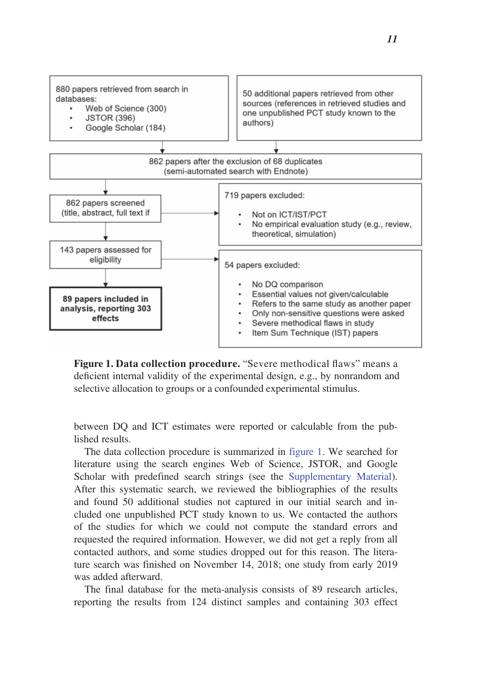

Figure 1. Data collection procedure. "Severe methodical flaws" means a deficient internal validity of the experimental design, e.g., by nonrandom and selective allocation to groups or a confounded experimental stimulus.

between DQ and ICT estimates were reported or calculable from the published results.

The data collection procedure is summarized in figure 1. We searched for literature using the search engines Web of Science, JSTOR, and Google Scholar with predefined search strings (see the Supplementary Material). After this systematic search, we reviewed the bibliographies of the results and found 50 additional studies not captured in our initial search and included one unpublished PCT study known to us. We contacted the authors of the studies for which we could not compute the standard errors and requested the required information. However, we did not get a reply from all contacted authors, and some studies dropped out for this reason. The literature search was finished on November 14, 2018; one study from early 2019 was added afterward.

The final database for the meta-analysis consists of 89 research articles, reporting the results from 124 distinct samples and containing 303 effect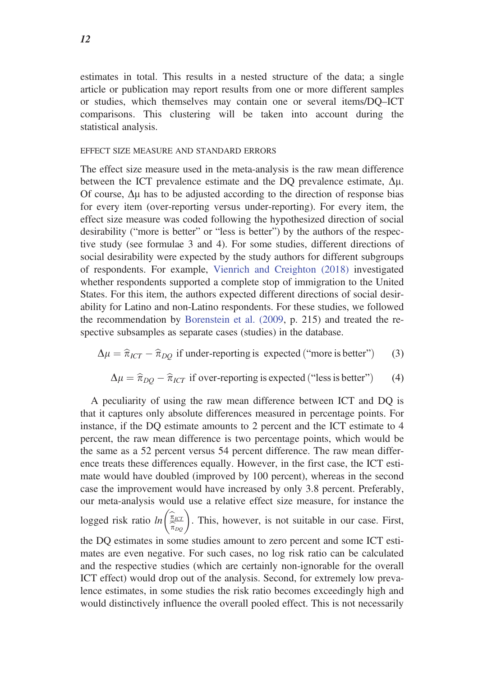estimates in total. This results in a nested structure of the data; a single article or publication may report results from one or more different samples or studies, which themselves may contain one or several items/DQ–ICT comparisons. This clustering will be taken into account during the statistical analysis.

#### EFFECT SIZE MEASURE AND STANDARD ERRORS

The effect size measure used in the meta-analysis is the raw mean difference between the ICT prevalence estimate and the DO prevalence estimate,  $\Delta \mu$ . Of course,  $\Delta \mu$  has to be adjusted according to the direction of response bias for every item (over-reporting versus under-reporting). For every item, the effect size measure was coded following the hypothesized direction of social desirability ("more is better" or "less is better") by the authors of the respective study (see formulae 3 and 4). For some studies, different directions of social desirability were expected by the study authors for different subgroups of respondents. For example, Vienrich and Creighton (2018) investigated whether respondents supported a complete stop of immigration to the United States. For this item, the authors expected different directions of social desirability for Latino and non-Latino respondents. For these studies, we followed the recommendation by Borenstein et al. (2009, p. 215) and treated the respective subsamples as separate cases (studies) in the database.

$$
\Delta \mu = \hat{\pi}_{ICT} - \hat{\pi}_{DQ} \text{ if under-reporting is expected ("more is better")} \tag{3}
$$

$$
\Delta \mu = \hat{\pi}_{DQ} - \hat{\pi}_{ICT} \text{ if over-reporting is expected ("less is better")} \tag{4}
$$

A peculiarity of using the raw mean difference between ICT and DQ is that it captures only absolute differences measured in percentage points. For instance, if the DQ estimate amounts to 2 percent and the ICT estimate to 4 percent, the raw mean difference is two percentage points, which would be the same as a 52 percent versus 54 percent difference. The raw mean difference treats these differences equally. However, in the first case, the ICT estimate would have doubled (improved by 100 percent), whereas in the second case the improvement would have increased by only 3.8 percent. Preferably, our meta-analysis would use a relative effect size measure, for instance the logged risk ratio  $ln\left(\frac{\pi_{\text{IC}}}{\sigma}\right)$  $\left(\frac{\widehat{\pi}_{\text{ICT}}}{\widehat{\pi}_{\text{DQ}}}\right)$ . This, however, is not suitable in our case. First, the DQ estimates in some studies amount to zero percent and some ICT estimates are even negative. For such cases, no log risk ratio can be calculated and the respective studies (which are certainly non-ignorable for the overall ICT effect) would drop out of the analysis. Second, for extremely low prevalence estimates, in some studies the risk ratio becomes exceedingly high and would distinctively influence the overall pooled effect. This is not necessarily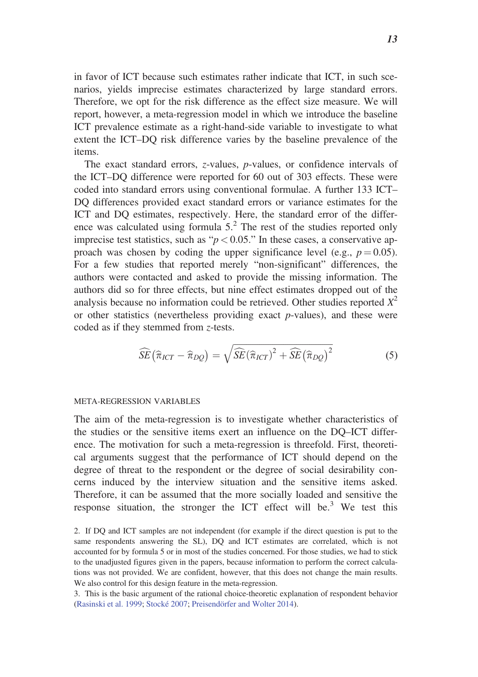in favor of ICT because such estimates rather indicate that ICT, in such scenarios, yields imprecise estimates characterized by large standard errors. Therefore, we opt for the risk difference as the effect size measure. We will report, however, a meta-regression model in which we introduce the baseline ICT prevalence estimate as a right-hand-side variable to investigate to what extent the ICT–DQ risk difference varies by the baseline prevalence of the items.

The exact standard errors, z-values, p-values, or confidence intervals of the ICT–DQ difference were reported for 60 out of 303 effects. These were coded into standard errors using conventional formulae. A further 133 ICT– DQ differences provided exact standard errors or variance estimates for the ICT and DQ estimates, respectively. Here, the standard error of the difference was calculated using formula  $5<sup>2</sup>$ . The rest of the studies reported only imprecise test statistics, such as " $p < 0.05$ ." In these cases, a conservative approach was chosen by coding the upper significance level (e.g.,  $p = 0.05$ ). For a few studies that reported merely "non-significant" differences, the authors were contacted and asked to provide the missing information. The authors did so for three effects, but nine effect estimates dropped out of the analysis because no information could be retrieved. Other studies reported  $X^2$ or other statistics (nevertheless providing exact  $p$ -values), and these were coded as if they stemmed from z-tests.

$$
\widehat{SE}(\widehat{\pi}_{ICT} - \widehat{\pi}_{DQ}) = \sqrt{\widehat{SE}(\widehat{\pi}_{ICT})^2 + \widehat{SE}(\widehat{\pi}_{DQ})^2}
$$
(5)

#### META-REGRESSION VARIABLES

The aim of the meta-regression is to investigate whether characteristics of the studies or the sensitive items exert an influence on the DQ–ICT difference. The motivation for such a meta-regression is threefold. First, theoretical arguments suggest that the performance of ICT should depend on the degree of threat to the respondent or the degree of social desirability concerns induced by the interview situation and the sensitive items asked. Therefore, it can be assumed that the more socially loaded and sensitive the response situation, the stronger the ICT effect will be.<sup>3</sup> We test this

2. If DQ and ICT samples are not independent (for example if the direct question is put to the same respondents answering the SL), DQ and ICT estimates are correlated, which is not accounted for by formula 5 or in most of the studies concerned. For those studies, we had to stick to the unadjusted figures given in the papers, because information to perform the correct calculations was not provided. We are confident, however, that this does not change the main results. We also control for this design feature in the meta-regression.

3. This is the basic argument of the rational choice-theoretic explanation of respondent behavior (Rasinski et al. 1999; Stocké 2007; Preisendörfer and Wolter 2014).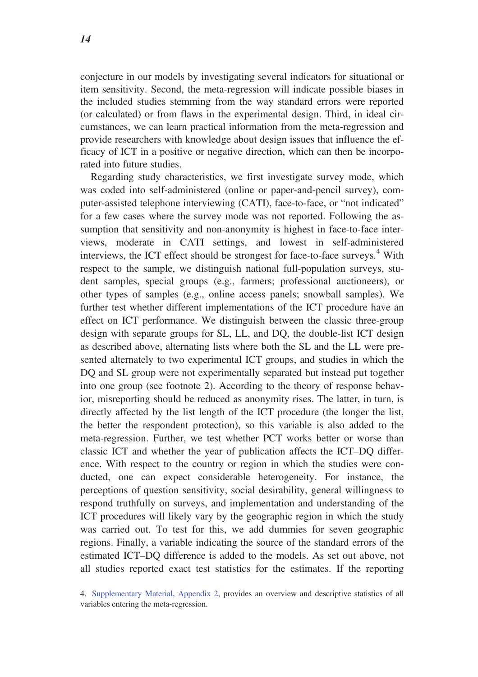conjecture in our models by investigating several indicators for situational or item sensitivity. Second, the meta-regression will indicate possible biases in the included studies stemming from the way standard errors were reported (or calculated) or from flaws in the experimental design. Third, in ideal circumstances, we can learn practical information from the meta-regression and provide researchers with knowledge about design issues that influence the efficacy of ICT in a positive or negative direction, which can then be incorporated into future studies.

Regarding study characteristics, we first investigate survey mode, which was coded into self-administered (online or paper-and-pencil survey), computer-assisted telephone interviewing (CATI), face-to-face, or "not indicated" for a few cases where the survey mode was not reported. Following the assumption that sensitivity and non-anonymity is highest in face-to-face interviews, moderate in CATI settings, and lowest in self-administered interviews, the ICT effect should be strongest for face-to-face surveys.<sup>4</sup> With respect to the sample, we distinguish national full-population surveys, student samples, special groups (e.g., farmers; professional auctioneers), or other types of samples (e.g., online access panels; snowball samples). We further test whether different implementations of the ICT procedure have an effect on ICT performance. We distinguish between the classic three-group design with separate groups for SL, LL, and DQ, the double-list ICT design as described above, alternating lists where both the SL and the LL were presented alternately to two experimental ICT groups, and studies in which the DQ and SL group were not experimentally separated but instead put together into one group (see footnote 2). According to the theory of response behavior, misreporting should be reduced as anonymity rises. The latter, in turn, is directly affected by the list length of the ICT procedure (the longer the list, the better the respondent protection), so this variable is also added to the meta-regression. Further, we test whether PCT works better or worse than classic ICT and whether the year of publication affects the ICT–DQ difference. With respect to the country or region in which the studies were conducted, one can expect considerable heterogeneity. For instance, the perceptions of question sensitivity, social desirability, general willingness to respond truthfully on surveys, and implementation and understanding of the ICT procedures will likely vary by the geographic region in which the study was carried out. To test for this, we add dummies for seven geographic regions. Finally, a variable indicating the source of the standard errors of the estimated ICT–DQ difference is added to the models. As set out above, not all studies reported exact test statistics for the estimates. If the reporting

4. Supplementary Material, Appendix 2, provides an overview and descriptive statistics of all variables entering the meta-regression.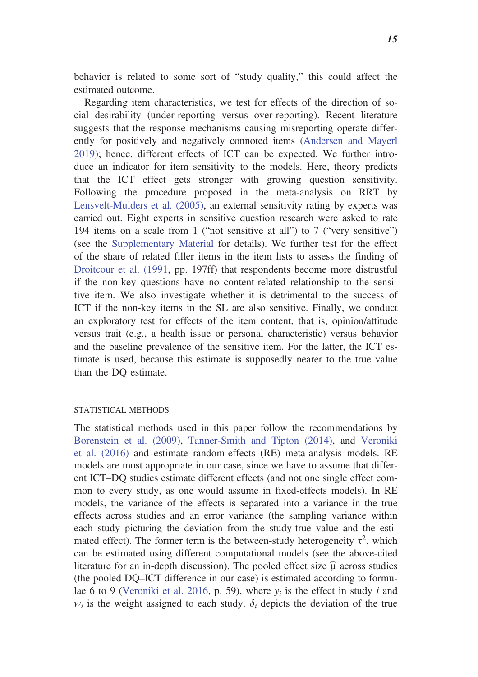behavior is related to some sort of "study quality," this could affect the estimated outcome.

Regarding item characteristics, we test for effects of the direction of social desirability (under-reporting versus over-reporting). Recent literature suggests that the response mechanisms causing misreporting operate differently for positively and negatively connoted items (Andersen and Mayerl 2019); hence, different effects of ICT can be expected. We further introduce an indicator for item sensitivity to the models. Here, theory predicts that the ICT effect gets stronger with growing question sensitivity. Following the procedure proposed in the meta-analysis on RRT by Lensvelt-Mulders et al. (2005), an external sensitivity rating by experts was carried out. Eight experts in sensitive question research were asked to rate 194 items on a scale from 1 ("not sensitive at all") to 7 ("very sensitive") (see the Supplementary Material for details). We further test for the effect of the share of related filler items in the item lists to assess the finding of Droitcour et al. (1991, pp. 197ff) that respondents become more distrustful if the non-key questions have no content-related relationship to the sensitive item. We also investigate whether it is detrimental to the success of ICT if the non-key items in the SL are also sensitive. Finally, we conduct an exploratory test for effects of the item content, that is, opinion/attitude versus trait (e.g., a health issue or personal characteristic) versus behavior and the baseline prevalence of the sensitive item. For the latter, the ICT estimate is used, because this estimate is supposedly nearer to the true value than the DQ estimate.

#### STATISTICAL METHODS

The statistical methods used in this paper follow the recommendations by Borenstein et al. (2009), Tanner-Smith and Tipton (2014), and Veroniki et al. (2016) and estimate random-effects (RE) meta-analysis models. RE models are most appropriate in our case, since we have to assume that different ICT–DQ studies estimate different effects (and not one single effect common to every study, as one would assume in fixed-effects models). In RE models, the variance of the effects is separated into a variance in the true effects across studies and an error variance (the sampling variance within each study picturing the deviation from the study-true value and the estimated effect). The former term is the between-study heterogeneity  $\tau^2$ , which can be estimated using different computational models (see the above-cited literature for an in-depth discussion). The pooled effect size  $\hat{\mu}$  across studies (the pooled DQ–ICT difference in our case) is estimated according to formulae 6 to 9 (Veroniki et al. 2016, p. 59), where  $y_i$  is the effect in study i and  $w_i$  is the weight assigned to each study.  $\delta_i$  depicts the deviation of the true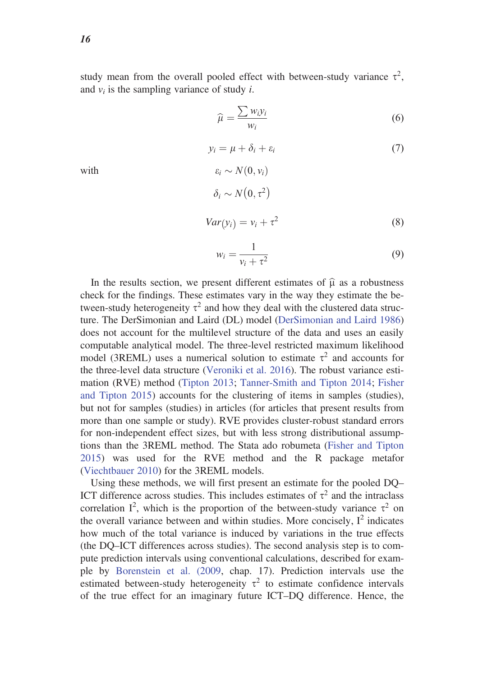study mean from the overall pooled effect with between-study variance  $\tau^2$ , and  $v_i$  is the sampling variance of study *i*.

$$
\widehat{\mu} = \frac{\sum w_i y_i}{w_i} \tag{6}
$$

$$
y_i = \mu + \delta_i + \varepsilon_i \tag{7}
$$

with  $\varepsilon_i \sim N(0, v_i)$ 

$$
\delta_i \sim N(0, \tau^2)
$$
  

$$
Var(y_i) = v_i + \tau^2
$$
 (8)

$$
w_i = \frac{1}{v_i + \tau^2} \tag{9}
$$

In the results section, we present different estimates of  $\hat{\mu}$  as a robustness check for the findings. These estimates vary in the way they estimate the between-study heterogeneity  $\tau^2$  and how they deal with the clustered data structure. The DerSimonian and Laird (DL) model (DerSimonian and Laird 1986) does not account for the multilevel structure of the data and uses an easily computable analytical model. The three-level restricted maximum likelihood model (3REML) uses a numerical solution to estimate  $\tau^2$  and accounts for the three-level data structure (Veroniki et al. 2016). The robust variance estimation (RVE) method (Tipton 2013; Tanner-Smith and Tipton 2014; Fisher and Tipton 2015) accounts for the clustering of items in samples (studies), but not for samples (studies) in articles (for articles that present results from more than one sample or study). RVE provides cluster-robust standard errors for non-independent effect sizes, but with less strong distributional assumptions than the 3REML method. The Stata ado robumeta (Fisher and Tipton 2015) was used for the RVE method and the R package metafor (Viechtbauer 2010) for the 3REML models.

Using these methods, we will first present an estimate for the pooled DQ– ICT difference across studies. This includes estimates of  $\tau^2$  and the intraclass correlation  $I^2$ , which is the proportion of the between-study variance  $\tau^2$  on the overall variance between and within studies. More concisely,  $I^2$  indicates how much of the total variance is induced by variations in the true effects (the DQ–ICT differences across studies). The second analysis step is to compute prediction intervals using conventional calculations, described for example by Borenstein et al. (2009, chap. 17). Prediction intervals use the estimated between-study heterogeneity  $\tau^2$  to estimate confidence intervals of the true effect for an imaginary future ICT–DQ difference. Hence, the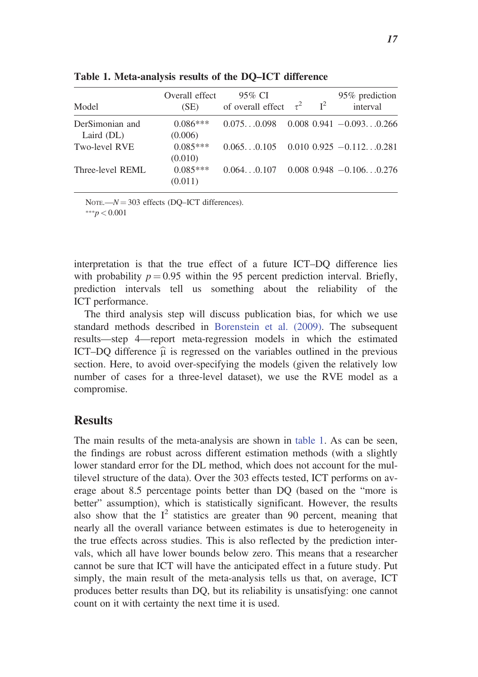| Model            | Overall effect<br>(SE) | 95% CI<br>of overall effect $\tau^2$ $I^2$ |  | 95% prediction<br>interval           |
|------------------|------------------------|--------------------------------------------|--|--------------------------------------|
| DerSimonian and  | $0.086***$             | $0.0750.098$ $0.008$ $0.941 -0.0930.266$   |  |                                      |
| Laird (DL)       | (0.006)                |                                            |  |                                      |
| Two-level RVE    | $0.085***$<br>(0.010)  | $0.0650.105$ 0.010 0.925 -0.1120.281       |  |                                      |
| Three-level REML | $0.085***$<br>(0.011)  |                                            |  | $0.0640.107$ 0.008 0.948 -0.1060.276 |

Table 1. Meta-analysis results of the DQ–ICT difference

NOTE.— $N = 303$  effects (DQ–ICT differences).  $***p < 0.001$ 

interpretation is that the true effect of a future ICT–DQ difference lies with probability  $p = 0.95$  within the 95 percent prediction interval. Briefly, prediction intervals tell us something about the reliability of the ICT performance.

The third analysis step will discuss publication bias, for which we use standard methods described in Borenstein et al. (2009). The subsequent results—step 4—report meta-regression models in which the estimated ICT–DQ difference  $\hat{\mu}$  is regressed on the variables outlined in the previous section. Here, to avoid over-specifying the models (given the relatively low number of cases for a three-level dataset), we use the RVE model as a compromise.

## **Results**

The main results of the meta-analysis are shown in table 1. As can be seen, the findings are robust across different estimation methods (with a slightly lower standard error for the DL method, which does not account for the multilevel structure of the data). Over the 303 effects tested, ICT performs on average about 8.5 percentage points better than DQ (based on the "more is better" assumption), which is statistically significant. However, the results also show that the  $I^2$  statistics are greater than 90 percent, meaning that nearly all the overall variance between estimates is due to heterogeneity in the true effects across studies. This is also reflected by the prediction intervals, which all have lower bounds below zero. This means that a researcher cannot be sure that ICT will have the anticipated effect in a future study. Put simply, the main result of the meta-analysis tells us that, on average, ICT produces better results than DQ, but its reliability is unsatisfying: one cannot count on it with certainty the next time it is used.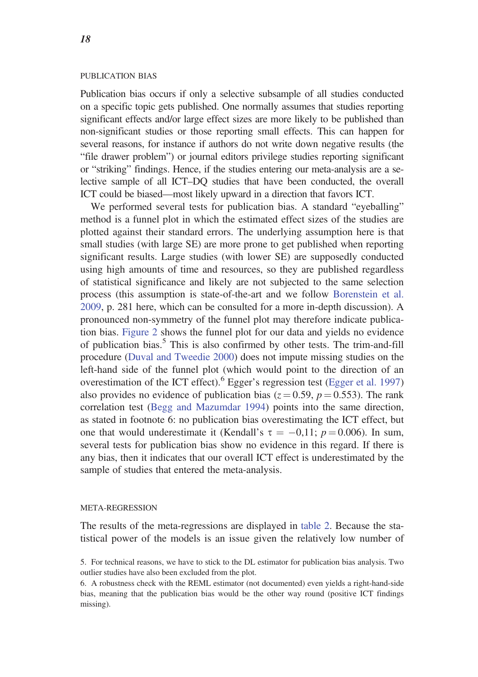#### PUBLICATION BIAS

Publication bias occurs if only a selective subsample of all studies conducted on a specific topic gets published. One normally assumes that studies reporting significant effects and/or large effect sizes are more likely to be published than non-significant studies or those reporting small effects. This can happen for several reasons, for instance if authors do not write down negative results (the "file drawer problem") or journal editors privilege studies reporting significant or "striking" findings. Hence, if the studies entering our meta-analysis are a selective sample of all ICT–DQ studies that have been conducted, the overall ICT could be biased—most likely upward in a direction that favors ICT.

We performed several tests for publication bias. A standard "eyeballing" method is a funnel plot in which the estimated effect sizes of the studies are plotted against their standard errors. The underlying assumption here is that small studies (with large SE) are more prone to get published when reporting significant results. Large studies (with lower SE) are supposedly conducted using high amounts of time and resources, so they are published regardless of statistical significance and likely are not subjected to the same selection process (this assumption is state-of-the-art and we follow Borenstein et al. 2009, p. 281 here, which can be consulted for a more in-depth discussion). A pronounced non-symmetry of the funnel plot may therefore indicate publication bias. Figure 2 shows the funnel plot for our data and yields no evidence of publication bias.<sup>5</sup> This is also confirmed by other tests. The trim-and-fill procedure (Duval and Tweedie 2000) does not impute missing studies on the left-hand side of the funnel plot (which would point to the direction of an overestimation of the ICT effect).<sup>6</sup> Egger's regression test (Egger et al. 1997) also provides no evidence of publication bias ( $z = 0.59$ ,  $p = 0.553$ ). The rank correlation test (Begg and Mazumdar 1994) points into the same direction, as stated in footnote 6: no publication bias overestimating the ICT effect, but one that would underestimate it (Kendall's  $\tau = -0.11$ ;  $p = 0.006$ ). In sum, several tests for publication bias show no evidence in this regard. If there is any bias, then it indicates that our overall ICT effect is underestimated by the sample of studies that entered the meta-analysis.

#### META-REGRESSION

The results of the meta-regressions are displayed in table 2. Because the statistical power of the models is an issue given the relatively low number of

<sup>5.</sup> For technical reasons, we have to stick to the DL estimator for publication bias analysis. Two outlier studies have also been excluded from the plot.

<sup>6.</sup> A robustness check with the REML estimator (not documented) even yields a right-hand-side bias, meaning that the publication bias would be the other way round (positive ICT findings missing).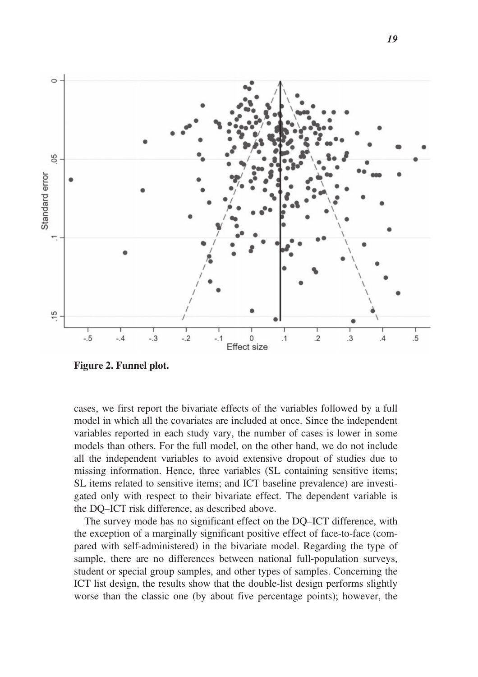

Figure 2. Funnel plot.

cases, we first report the bivariate effects of the variables followed by a full model in which all the covariates are included at once. Since the independent variables reported in each study vary, the number of cases is lower in some models than others. For the full model, on the other hand, we do not include all the independent variables to avoid extensive dropout of studies due to missing information. Hence, three variables (SL containing sensitive items; SL items related to sensitive items; and ICT baseline prevalence) are investigated only with respect to their bivariate effect. The dependent variable is the DQ–ICT risk difference, as described above.

The survey mode has no significant effect on the DQ–ICT difference, with the exception of a marginally significant positive effect of face-to-face (compared with self-administered) in the bivariate model. Regarding the type of sample, there are no differences between national full-population surveys, student or special group samples, and other types of samples. Concerning the ICT list design, the results show that the double-list design performs slightly worse than the classic one (by about five percentage points); however, the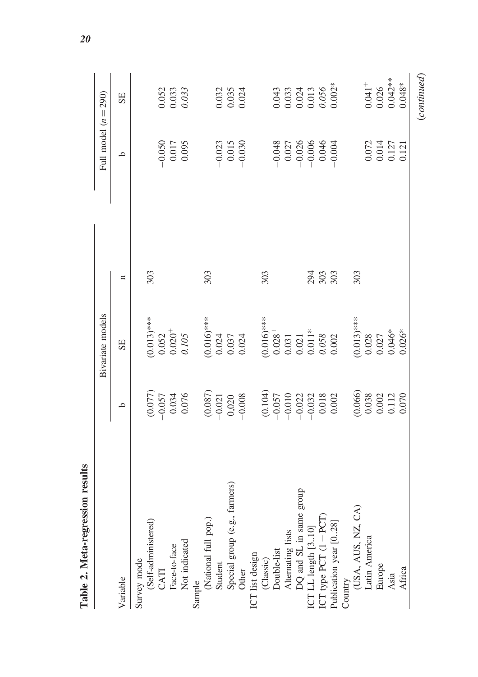|                               |                                                                                                           | Bivariate models                                                                                          |     | Full model $(n = 290)$                                                         |                                                                 |
|-------------------------------|-----------------------------------------------------------------------------------------------------------|-----------------------------------------------------------------------------------------------------------|-----|--------------------------------------------------------------------------------|-----------------------------------------------------------------|
| Variable                      | $\circ$                                                                                                   | SE                                                                                                        | n   | ٩                                                                              | SE                                                              |
| Survey mode                   |                                                                                                           |                                                                                                           |     |                                                                                |                                                                 |
| (Self-administered)           |                                                                                                           |                                                                                                           | 303 |                                                                                |                                                                 |
| CATI                          |                                                                                                           |                                                                                                           |     |                                                                                |                                                                 |
| Face-to-face                  |                                                                                                           |                                                                                                           |     | $-0.050$<br>0.017<br>7 10.095                                                  |                                                                 |
| Not indicated                 | $\begin{array}{c} (0.077) \\ -0.057 \\ 0.034 \\ 0.074 \end{array}$                                        | $(0.013)$ ***<br>0.052<br>0.020 <sup>+</sup><br>0.105                                                     |     |                                                                                | 0.052<br>0.033<br><i>0.033</i>                                  |
| Sample                        |                                                                                                           |                                                                                                           |     |                                                                                |                                                                 |
| (National full pop.)          |                                                                                                           | $(0.016)$ ***<br>0.024<br>0.037<br>0.024                                                                  | 303 |                                                                                |                                                                 |
| Student                       |                                                                                                           |                                                                                                           |     |                                                                                |                                                                 |
| Special group (e.g., farmers) | $\begin{array}{c} (0.087) \\ -0.021 \\ 0.020 \\ -0.008 \end{array}$                                       |                                                                                                           |     | $-0.023$<br>0.015                                                              | 0.032<br>0.035<br>0.024                                         |
| Other                         |                                                                                                           |                                                                                                           |     | $-0.030$                                                                       |                                                                 |
| ICT list design               |                                                                                                           |                                                                                                           |     |                                                                                |                                                                 |
| (Classic)                     |                                                                                                           |                                                                                                           | 303 |                                                                                |                                                                 |
| Double-list                   |                                                                                                           |                                                                                                           |     | $-0.048$                                                                       |                                                                 |
| Alternating lists             |                                                                                                           |                                                                                                           |     |                                                                                |                                                                 |
| DQ and SL in same group       |                                                                                                           |                                                                                                           |     |                                                                                |                                                                 |
| ICT LL length [310]           |                                                                                                           |                                                                                                           | 294 | $\begin{array}{c} 0.027 \\ -0.026 \\ -0.006 \\ 0.046 \\ -0.004 \\ \end{array}$ | $0.043$<br>$0.033$<br>$0.024$<br>$0.013$<br>$0.056$<br>$0.002*$ |
| ICT type PCT $(1 = PCT)$      |                                                                                                           |                                                                                                           | 303 |                                                                                |                                                                 |
| Publication year [028]        | $\begin{array}{l} (0.104) \\ -0.057 \\ -0.010 \\ -0.012 \\ -0.022 \\ 0.033 \\ 0.018 \\ 0.002 \end{array}$ | $\begin{array}{l} (0.016)^{***} \\ 0.028^+ \\ 0.031 \\ 0.031 \\ 0.011^* \\ 0.058 \\ 0.002 \\ \end{array}$ |     |                                                                                |                                                                 |
| Country                       |                                                                                                           |                                                                                                           |     |                                                                                |                                                                 |
| USA, AUS, NZ, CA)             | (0.066)                                                                                                   | $(0.013)$ ***<br>0.028<br>0.027<br>0.046*                                                                 | 303 |                                                                                |                                                                 |
| Latin America                 |                                                                                                           |                                                                                                           |     |                                                                                |                                                                 |
| Europe                        |                                                                                                           |                                                                                                           |     |                                                                                |                                                                 |
| Asia                          | $\begin{array}{c} 0.038 \\ 0.002 \\ 0.112 \end{array}$                                                    |                                                                                                           |     | $\begin{array}{c} 0.072 \\ 0.014 \\ 0.127 \\ 0.121 \end{array}$                | $0.041$ <sup>+</sup><br>0.026<br>0.042**                        |
| Africa                        | 0.070                                                                                                     | $0.026*$                                                                                                  |     |                                                                                | $0.048*$                                                        |
|                               |                                                                                                           |                                                                                                           |     |                                                                                | (continued)                                                     |

Table 2. Meta-regression results Table 2. Meta-regression results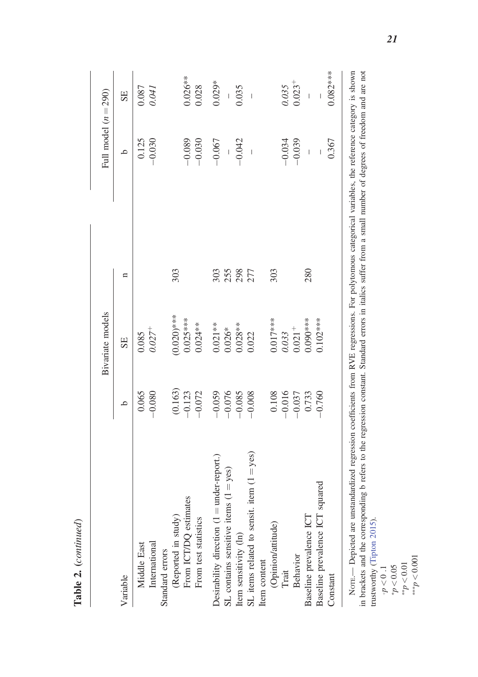|                                              |              | Bivariate models     |              | Full model $(n = 290)$ |                          |
|----------------------------------------------|--------------|----------------------|--------------|------------------------|--------------------------|
| Variable                                     | $\mathbf{a}$ | SE                   | $\mathbf{a}$ | q                      | SE                       |
| Middle East                                  | 0.065        | 0.085                |              | 0.125                  | 0.087                    |
| International                                | $-0.080$     | $0.027^{+}$          |              | $-0.030$               | 0.041                    |
| Standard errors                              |              |                      |              |                        |                          |
| (Reported in study)                          | (0.163)      | $(0.020)$ ***        | 303          |                        |                          |
| From ICT/DQ estimates                        | $-0.123$     | $0.025***$           |              | $-0.089$               | 1.026**                  |
| From test statistics                         | $-0.072$     | $0.024**$            |              | $-0.030$               | 0.028                    |
| Desirability direction $(1 = under-report.)$ | $-0.059$     | $0.021**$            | 303          | $-0.067$               | $0.029*$                 |
| SL contains sensitive items $(1 = yes)$      | $-0.076$     | $0.026*$             | 255          |                        |                          |
| Item sensitivity (ln)                        | $-0.085$     | $0.028**$            | 298          | $-0.042$               | 0.035                    |
| SL items related to sensit. item $(1 = yes)$ | $-0.008$     | 0.022                | 277          |                        | $\overline{\phantom{a}}$ |
| Item content                                 |              |                      |              |                        |                          |
| (Opinion/attitude)                           | 0.108        | $0.017***$           | 303          |                        |                          |
| Trait                                        | $-0.016$     | 0.033                |              | $-0.034$               | 0.035                    |
| <b>Behavior</b>                              | $-0.037$     | $0.021$ <sup>+</sup> |              | $-0.039$               | $0.023 +$                |
| Baseline prevalence ICT                      | 0.733        | $0.090***$           | 280          | $\overline{1}$         | $\overline{\phantom{a}}$ |
| Baseline prevalence ICT squared              | $-0.760$     | $0.102***$           |              |                        |                          |
| Constant                                     |              |                      |              | 0.367                  | $0.082***$               |

NOTE.— Depicted are unstandardized regression coefficients from RVE regressions. For polytomous categorical variables, the reference category is shown in brackets and the corresponding b refers to the regression constant. Standard errors in italics suffer from a small number of degrees of freedom and are not trustworthy (Tipton 2015).

 $\begin{array}{l} \tau \rho > 0 \ 1 \ \tau \rho > \sigma_{**} \ \tau \rho > 0.01 \ \tau \rho > 0 \ \tau \rho > 0 \end{array}$ 

Table 2. (continued) Table 2. (continued)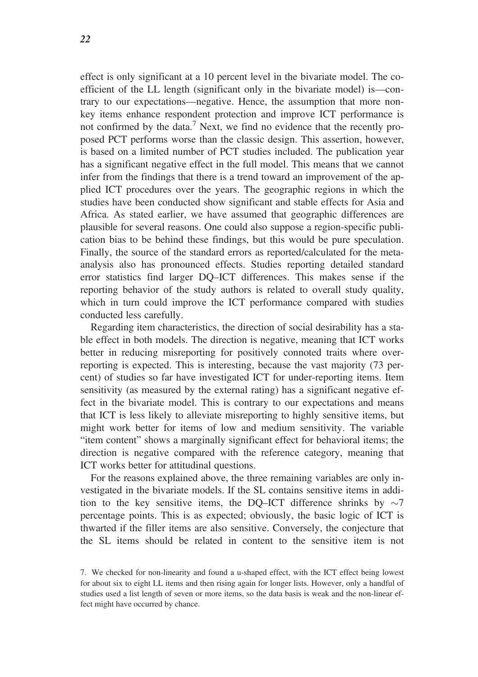effect is only significant at a 10 percent level in the bivariate model. The coefficient of the LL length (significant only in the bivariate model) is—contrary to our expectations—negative. Hence, the assumption that more nonkey items enhance respondent protection and improve ICT performance is not confirmed by the data.<sup>7</sup> Next, we find no evidence that the recently proposed PCT performs worse than the classic design. This assertion, however, is based on a limited number of PCT studies included. The publication year has a significant negative effect in the full model. This means that we cannot infer from the findings that there is a trend toward an improvement of the applied ICT procedures over the years. The geographic regions in which the studies have been conducted show significant and stable effects for Asia and Africa. As stated earlier, we have assumed that geographic differences are plausible for several reasons. One could also suppose a region-specific publication bias to be behind these findings, but this would be pure speculation. Finally, the source of the standard errors as reported/calculated for the metaanalysis also has pronounced effects. Studies reporting detailed standard error statistics find larger DQ–ICT differences. This makes sense if the reporting behavior of the study authors is related to overall study quality, which in turn could improve the ICT performance compared with studies conducted less carefully.

Regarding item characteristics, the direction of social desirability has a stable effect in both models. The direction is negative, meaning that ICT works better in reducing misreporting for positively connoted traits where overreporting is expected. This is interesting, because the vast majority (73 percent) of studies so far have investigated ICT for under-reporting items. Item sensitivity (as measured by the external rating) has a significant negative effect in the bivariate model. This is contrary to our expectations and means that ICT is less likely to alleviate misreporting to highly sensitive items, but might work better for items of low and medium sensitivity. The variable "item content" shows a marginally significant effect for behavioral items; the direction is negative compared with the reference category, meaning that ICT works better for attitudinal questions.

For the reasons explained above, the three remaining variables are only investigated in the bivariate models. If the SL contains sensitive items in addition to the key sensitive items, the DQ–ICT difference shrinks by  $\sim$ 7 percentage points. This is as expected; obviously, the basic logic of ICT is thwarted if the filler items are also sensitive. Conversely, the conjecture that the SL items should be related in content to the sensitive item is not

<sup>7.</sup> We checked for non-linearity and found a u-shaped effect, with the ICT effect being lowest for about six to eight LL items and then rising again for longer lists. However, only a handful of studies used a list length of seven or more items, so the data basis is weak and the non-linear effect might have occurred by chance.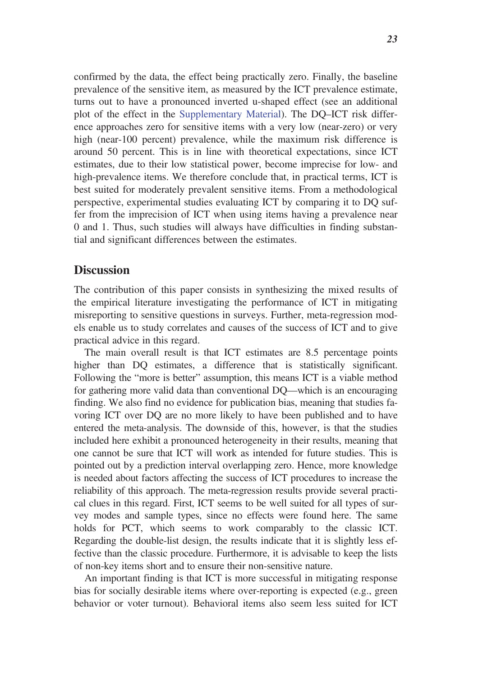confirmed by the data, the effect being practically zero. Finally, the baseline prevalence of the sensitive item, as measured by the ICT prevalence estimate, turns out to have a pronounced inverted u-shaped effect (see an additional plot of the effect in the Supplementary Material). The DQ–ICT risk difference approaches zero for sensitive items with a very low (near-zero) or very high (near-100 percent) prevalence, while the maximum risk difference is around 50 percent. This is in line with theoretical expectations, since ICT estimates, due to their low statistical power, become imprecise for low- and high-prevalence items. We therefore conclude that, in practical terms, ICT is best suited for moderately prevalent sensitive items. From a methodological perspective, experimental studies evaluating ICT by comparing it to DQ suffer from the imprecision of ICT when using items having a prevalence near 0 and 1. Thus, such studies will always have difficulties in finding substantial and significant differences between the estimates.

### **Discussion**

The contribution of this paper consists in synthesizing the mixed results of the empirical literature investigating the performance of ICT in mitigating misreporting to sensitive questions in surveys. Further, meta-regression models enable us to study correlates and causes of the success of ICT and to give practical advice in this regard.

The main overall result is that ICT estimates are 8.5 percentage points higher than DQ estimates, a difference that is statistically significant. Following the "more is better" assumption, this means ICT is a viable method for gathering more valid data than conventional DQ—which is an encouraging finding. We also find no evidence for publication bias, meaning that studies favoring ICT over DQ are no more likely to have been published and to have entered the meta-analysis. The downside of this, however, is that the studies included here exhibit a pronounced heterogeneity in their results, meaning that one cannot be sure that ICT will work as intended for future studies. This is pointed out by a prediction interval overlapping zero. Hence, more knowledge is needed about factors affecting the success of ICT procedures to increase the reliability of this approach. The meta-regression results provide several practical clues in this regard. First, ICT seems to be well suited for all types of survey modes and sample types, since no effects were found here. The same holds for PCT, which seems to work comparably to the classic ICT. Regarding the double-list design, the results indicate that it is slightly less effective than the classic procedure. Furthermore, it is advisable to keep the lists of non-key items short and to ensure their non-sensitive nature.

An important finding is that ICT is more successful in mitigating response bias for socially desirable items where over-reporting is expected (e.g., green behavior or voter turnout). Behavioral items also seem less suited for ICT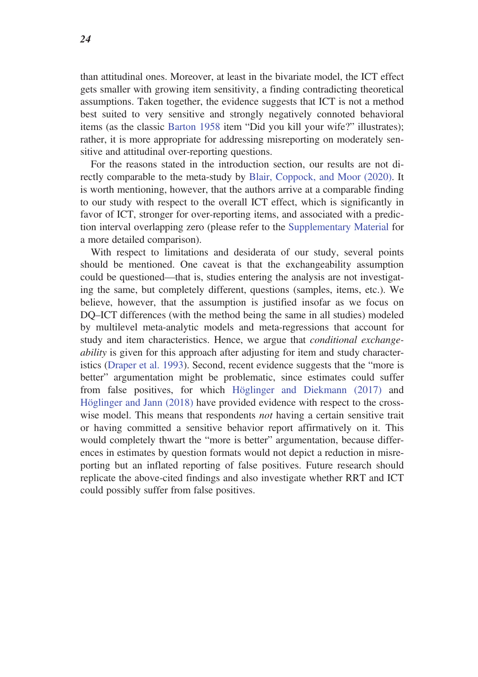than attitudinal ones. Moreover, at least in the bivariate model, the ICT effect gets smaller with growing item sensitivity, a finding contradicting theoretical assumptions. Taken together, the evidence suggests that ICT is not a method best suited to very sensitive and strongly negatively connoted behavioral items (as the classic Barton 1958 item "Did you kill your wife?" illustrates); rather, it is more appropriate for addressing misreporting on moderately sensitive and attitudinal over-reporting questions.

For the reasons stated in the introduction section, our results are not directly comparable to the meta-study by Blair, Coppock, and Moor (2020). It is worth mentioning, however, that the authors arrive at a comparable finding to our study with respect to the overall ICT effect, which is significantly in favor of ICT, stronger for over-reporting items, and associated with a prediction interval overlapping zero (please refer to the Supplementary Material for a more detailed comparison).

With respect to limitations and desiderata of our study, several points should be mentioned. One caveat is that the exchangeability assumption could be questioned—that is, studies entering the analysis are not investigating the same, but completely different, questions (samples, items, etc.). We believe, however, that the assumption is justified insofar as we focus on DQ–ICT differences (with the method being the same in all studies) modeled by multilevel meta-analytic models and meta-regressions that account for study and item characteristics. Hence, we argue that conditional exchangeability is given for this approach after adjusting for item and study characteristics (Draper et al. 1993). Second, recent evidence suggests that the "more is better" argumentation might be problematic, since estimates could suffer from false positives, for which Höglinger and Diekmann (2017) and Höglinger and Jann (2018) have provided evidence with respect to the crosswise model. This means that respondents *not* having a certain sensitive trait or having committed a sensitive behavior report affirmatively on it. This would completely thwart the "more is better" argumentation, because differences in estimates by question formats would not depict a reduction in misreporting but an inflated reporting of false positives. Future research should replicate the above-cited findings and also investigate whether RRT and ICT could possibly suffer from false positives.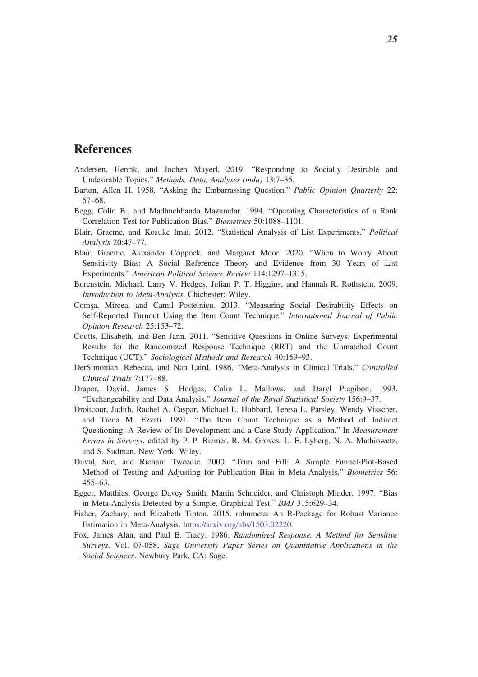## References

- Andersen, Henrik, and Jochen Mayerl. 2019. "Responding to Socially Desirable and Undesirable Topics." Methods, Data, Analyses (mda) 13:7–35.
- Barton, Allen H. 1958. "Asking the Embarrassing Question." Public Opinion Quarterly 22: 67–68.
- Begg, Colin B., and Madhuchhanda Mazumdar. 1994. "Operating Characteristics of a Rank Correlation Test for Publication Bias." Biometrics 50:1088–1101.
- Blair, Graeme, and Kosuke Imai. 2012. "Statistical Analysis of List Experiments." Political Analysis 20:47–77.
- Blair, Graeme, Alexander Coppock, and Margaret Moor. 2020. "When to Worry About Sensitivity Bias: A Social Reference Theory and Evidence from 30 Years of List Experiments." American Political Science Review 114:1297–1315.
- Borenstein, Michael, Larry V. Hedges, Julian P. T. Higgins, and Hannah R. Rothstein. 2009. Introduction to Meta-Analysis. Chichester: Wiley.
- Comsa, Mircea, and Camil Postelnicu. 2013. "Measuring Social Desirability Effects on Self-Reported Turnout Using the Item Count Technique." International Journal of Public Opinion Research 25:153–72.
- Coutts, Elisabeth, and Ben Jann. 2011. "Sensitive Questions in Online Surveys: Experimental Results for the Randomized Response Technique (RRT) and the Unmatched Count Technique (UCT)." Sociological Methods and Research 40:169–93.
- DerSimonian, Rebecca, and Nan Laird. 1986. "Meta-Analysis in Clinical Trials." Controlled Clinical Trials 7:177–88.
- Draper, David, James S. Hodges, Colin L. Mallows, and Daryl Pregibon. 1993. "Exchangeability and Data Analysis." Journal of the Royal Statistical Society 156:9–37.
- Droitcour, Judith, Rachel A. Caspar, Michael L. Hubbard, Teresa L. Parsley, Wendy Visscher, and Trena M. Ezzati. 1991. "The Item Count Technique as a Method of Indirect Questioning: A Review of Its Development and a Case Study Application." In Measurement Errors in Surveys, edited by P. P. Biemer, R. M. Groves, L. E. Lyberg, N. A. Mathiowetz, and S. Sudman. New York: Wiley.
- Duval, Sue, and Richard Tweedie. 2000. "Trim and Fill: A Simple Funnel-Plot-Based Method of Testing and Adjusting for Publication Bias in Meta-Analysis." Biometrics 56: 455–63.
- Egger, Matthias, George Davey Smith, Martin Schneider, and Christoph Minder. 1997. "Bias in Meta-Analysis Detected by a Simple, Graphical Test." BMJ 315:629–34.
- Fisher, Zachary, and Elizabeth Tipton. 2015. robumeta: An R-Package for Robust Variance Estimation in Meta-Analysis. https://arxiv.org/abs/1503.02220.
- Fox, James Alan, and Paul E. Tracy. 1986. Randomized Response. A Method for Sensitive Surveys. Vol. 07-058, Sage University Paper Series on Quantitative Applications in the Social Sciences. Newbury Park, CA: Sage.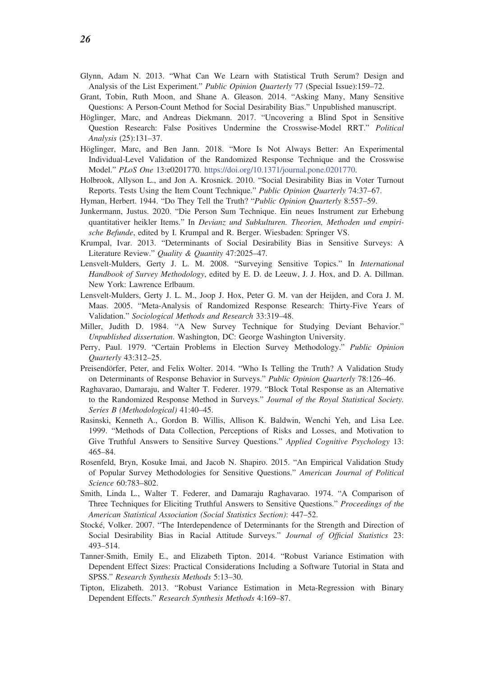- Glynn, Adam N. 2013. "What Can We Learn with Statistical Truth Serum? Design and Analysis of the List Experiment." Public Opinion Quarterly 77 (Special Issue):159–72.
- Grant, Tobin, Ruth Moon, and Shane A. Gleason. 2014. "Asking Many, Many Sensitive Questions: A Person-Count Method for Social Desirability Bias." Unpublished manuscript.
- Höglinger, Marc, and Andreas Diekmann. 2017. "Uncovering a Blind Spot in Sensitive Question Research: False Positives Undermine the Crosswise-Model RRT." Political Analysis (25):131–37.
- Höglinger, Marc, and Ben Jann. 2018. "More Is Not Always Better: An Experimental Individual-Level Validation of the Randomized Response Technique and the Crosswise Model." PLoS One 13:e0201770. https://doi.org/10.1371/journal.pone.0201770.
- Holbrook, Allyson L., and Jon A. Krosnick. 2010. "Social Desirability Bias in Voter Turnout Reports. Tests Using the Item Count Technique." Public Opinion Quarterly 74:37–67.
- Hyman, Herbert. 1944. "Do They Tell the Truth? "Public Opinion Quarterly 8:557–59.
- Junkermann, Justus. 2020. "Die Person Sum Technique. Ein neues Instrument zur Erhebung quantitativer heikler Items." In Devianz und Subkulturen. Theorien, Methoden und empirische Befunde, edited by I. Krumpal and R. Berger. Wiesbaden: Springer VS.
- Krumpal, Ivar. 2013. "Determinants of Social Desirability Bias in Sensitive Surveys: A Literature Review." Quality & Quantity 47:2025-47.
- Lensvelt-Mulders, Gerty J. L. M. 2008. "Surveying Sensitive Topics." In International Handbook of Survey Methodology, edited by E. D. de Leeuw, J. J. Hox, and D. A. Dillman. New York: Lawrence Erlbaum.
- Lensvelt-Mulders, Gerty J. L. M., Joop J. Hox, Peter G. M. van der Heijden, and Cora J. M. Maas. 2005. "Meta-Analysis of Randomized Response Research: Thirty-Five Years of Validation." Sociological Methods and Research 33:319–48.
- Miller, Judith D. 1984. "A New Survey Technique for Studying Deviant Behavior." Unpublished dissertation. Washington, DC: George Washington University.
- Perry, Paul. 1979. "Certain Problems in Election Survey Methodology." Public Opinion Quarterly 43:312–25.
- Preisendörfer, Peter, and Felix Wolter. 2014. "Who Is Telling the Truth? A Validation Study on Determinants of Response Behavior in Surveys." Public Opinion Quarterly 78:126–46.
- Raghavarao, Damaraju, and Walter T. Federer. 1979. "Block Total Response as an Alternative to the Randomized Response Method in Surveys." Journal of the Royal Statistical Society. Series B (Methodological) 41:40–45.
- Rasinski, Kenneth A., Gordon B. Willis, Allison K. Baldwin, Wenchi Yeh, and Lisa Lee. 1999. "Methods of Data Collection, Perceptions of Risks and Losses, and Motivation to Give Truthful Answers to Sensitive Survey Questions." Applied Cognitive Psychology 13: 465–84.
- Rosenfeld, Bryn, Kosuke Imai, and Jacob N. Shapiro. 2015. "An Empirical Validation Study of Popular Survey Methodologies for Sensitive Questions." American Journal of Political Science 60:783–802.
- Smith, Linda L., Walter T. Federer, and Damaraju Raghavarao. 1974. "A Comparison of Three Techniques for Eliciting Truthful Answers to Sensitive Questions." Proceedings of the American Statistical Association (Social Statistics Section): 447–52.
- Stocke´, Volker. 2007. "The Interdependence of Determinants for the Strength and Direction of Social Desirability Bias in Racial Attitude Surveys." Journal of Official Statistics 23: 493–514.
- Tanner-Smith, Emily E., and Elizabeth Tipton. 2014. "Robust Variance Estimation with Dependent Effect Sizes: Practical Considerations Including a Software Tutorial in Stata and SPSS." Research Synthesis Methods 5:13–30.
- Tipton, Elizabeth. 2013. "Robust Variance Estimation in Meta-Regression with Binary Dependent Effects." Research Synthesis Methods 4:169–87.